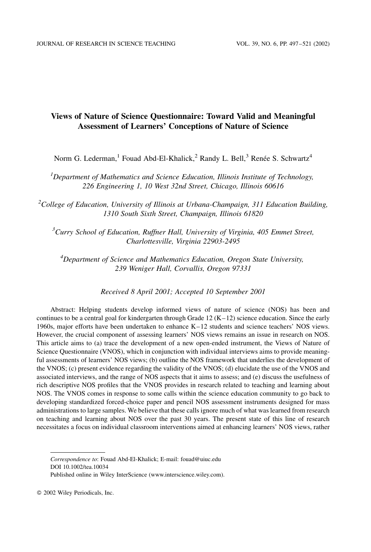# Views of Nature of Science Questionnaire: Toward Valid and Meaningful Assessment of Learners' Conceptions of Nature of Science

Norm G. Lederman,<sup>1</sup> Fouad Abd-El-Khalick,<sup>2</sup> Randy L. Bell,<sup>3</sup> Renée S. Schwartz<sup>4</sup>

 ${}^{1}$ Department of Mathematics and Science Education, Illinois Institute of Technology, 226 Engineering 1, 10 West 32nd Street, Chicago, Illinois 60616

 $^{2}$ College of Education, University of Illinois at Urbana-Champaign, 311 Education Building, 1310 South Sixth Street, Champaign, Illinois 61820

 $3$ Curry School of Education, Ruffner Hall, University of Virginia, 405 Emmet Street, Charlottesville, Virginia 22903-2495

 ${}^{4}$ Department of Science and Mathematics Education, Oregon State University, 239 Weniger Hall, Corvallis, Oregon 97331

Received 8 April 2001; Accepted 10 September 2001

Abstract: Helping students develop informed views of nature of science (NOS) has been and continues to be a central goal for kindergarten through Grade 12  $(K-12)$  science education. Since the early 1960s, major efforts have been undertaken to enhance K–12 students and science teachers' NOS views. However, the crucial component of assessing learners' NOS views remains an issue in research on NOS. This article aims to (a) trace the development of a new open-ended instrument, the Views of Nature of Science Questionnaire (VNOS), which in conjunction with individual interviews aims to provide meaningful assessments of learners' NOS views; (b) outline the NOS framework that underlies the development of the VNOS; (c) present evidence regarding the validity of the VNOS; (d) elucidate the use of the VNOS and associated interviews, and the range of NOS aspects that it aims to assess; and (e) discuss the usefulness of rich descriptive NOS profiles that the VNOS provides in research related to teaching and learning about NOS. The VNOS comes in response to some calls within the science education community to go back to developing standardized forced-choice paper and pencil NOS assessment instruments designed for mass administrations to large samples. We believe that these calls ignore much of what was learned from research on teaching and learning about NOS over the past 30 years. The present state of this line of research necessitates a focus on individual classroom interventions aimed at enhancing learners' NOS views, rather

Correspondence to: Fouad Abd-El-Khalick; E-mail: fouad@uiuc.edu DOI 10.1002/tea.10034 Published online in Wiley InterScience (www.interscience.wiley.com).

2002 Wiley Periodicals, Inc.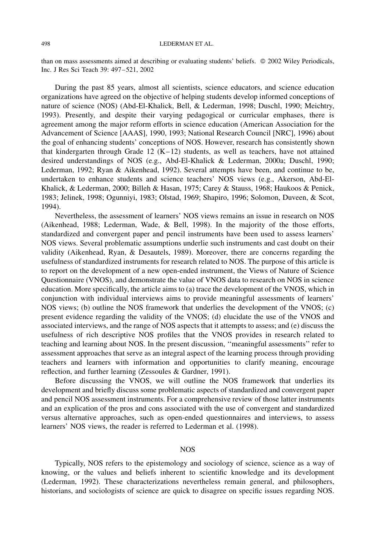than on mass assessments aimed at describing or evaluating students' beliefs.  $\circ$  2002 Wiley Periodicals, Inc. J Res Sci Teach 39: 497–521, 2002

During the past 85 years, almost all scientists, science educators, and science education organizations have agreed on the objective of helping students develop informed conceptions of nature of science (NOS) (Abd-El-Khalick, Bell, & Lederman, 1998; Duschl, 1990; Meichtry, 1993). Presently, and despite their varying pedagogical or curricular emphases, there is agreement among the major reform efforts in science education (American Association for the Advancement of Science [AAAS], 1990, 1993; National Research Council [NRC], 1996) about the goal of enhancing students' conceptions of NOS. However, research has consistently shown that kindergarten through Grade  $12$  (K–12) students, as well as teachers, have not attained desired understandings of NOS (e.g., Abd-El-Khalick & Lederman, 2000a; Duschl, 1990; Lederman, 1992; Ryan & Aikenhead, 1992). Several attempts have been, and continue to be, undertaken to enhance students and science teachers' NOS views (e.g., Akerson, Abd-El-Khalick, & Lederman, 2000; Billeh & Hasan, 1975; Carey & Stauss, 1968; Haukoos & Penick, 1983; Jelinek, 1998; Ogunniyi, 1983; Olstad, 1969; Shapiro, 1996; Solomon, Duveen, & Scot, 1994).

Nevertheless, the assessment of learners' NOS views remains an issue in research on NOS (Aikenhead, 1988; Lederman, Wade, & Bell, 1998). In the majority of the those efforts, standardized and convergent paper and pencil instruments have been used to assess learners' NOS views. Several problematic assumptions underlie such instruments and cast doubt on their validity (Aikenhead, Ryan, & Desautels, 1989). Moreover, there are concerns regarding the usefulness of standardized instruments for research related to NOS. The purpose of this article is to report on the development of a new open-ended instrument, the Views of Nature of Science Questionnaire (VNOS), and demonstrate the value of VNOS data to research on NOS in science education. More specifically, the article aims to (a) trace the development of the VNOS, which in conjunction with individual interviews aims to provide meaningful assessments of learners' NOS views; (b) outline the NOS framework that underlies the development of the VNOS; (c) present evidence regarding the validity of the VNOS; (d) elucidate the use of the VNOS and associated interviews, and the range of NOS aspects that it attempts to assess; and (e) discuss the usefulness of rich descriptive NOS profiles that the VNOS provides in research related to teaching and learning about NOS. In the present discussion, ''meaningful assessments'' refer to assessment approaches that serve as an integral aspect of the learning process through providing teachers and learners with information and opportunities to clarify meaning, encourage reflection, and further learning (Zessoules & Gardner, 1991).

Before discussing the VNOS, we will outline the NOS framework that underlies its development and briefly discuss some problematic aspects of standardized and convergent paper and pencil NOS assessment instruments. For a comprehensive review of those latter instruments and an explication of the pros and cons associated with the use of convergent and standardized versus alternative approaches, such as open-ended questionnaires and interviews, to assess learners' NOS views, the reader is referred to Lederman et al. (1998).

### NOS

Typically, NOS refers to the epistemology and sociology of science, science as a way of knowing, or the values and beliefs inherent to scientific knowledge and its development (Lederman, 1992). These characterizations nevertheless remain general, and philosophers, historians, and sociologists of science are quick to disagree on specific issues regarding NOS.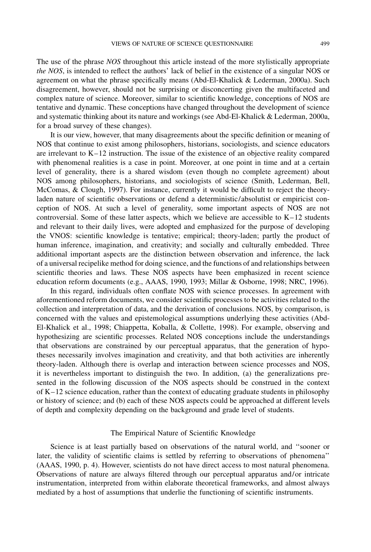The use of the phrase NOS throughout this article instead of the more stylistically appropriate the NOS, is intended to reflect the authors' lack of belief in the existence of a singular NOS or agreement on what the phrase specifically means (Abd-El-Khalick & Lederman, 2000a). Such disagreement, however, should not be surprising or disconcerting given the multifaceted and complex nature of science. Moreover, similar to scientific knowledge, conceptions of NOS are tentative and dynamic. These conceptions have changed throughout the development of science and systematic thinking about its nature and workings (see Abd-El-Khalick & Lederman, 2000a, for a broad survey of these changes).

It is our view, however, that many disagreements about the specific definition or meaning of NOS that continue to exist among philosophers, historians, sociologists, and science educators are irrelevant to  $K-12$  instruction. The issue of the existence of an objective reality compared with phenomenal realities is a case in point. Moreover, at one point in time and at a certain level of generality, there is a shared wisdom (even though no complete agreement) about NOS among philosophers, historians, and sociologists of science (Smith, Lederman, Bell, McComas, & Clough, 1997). For instance, currently it would be difficult to reject the theoryladen nature of scientific observations or defend a deterministic/absolutist or empiricist conception of NOS. At such a level of generality, some important aspects of NOS are not controversial. Some of these latter aspects, which we believe are accessible to  $K-12$  students and relevant to their daily lives, were adopted and emphasized for the purpose of developing the VNOS: scientific knowledge is tentative; empirical; theory-laden; partly the product of human inference, imagination, and creativity; and socially and culturally embedded. Three additional important aspects are the distinction between observation and inference, the lack of a universal recipelike method for doing science, and the functions of and relationships between scientific theories and laws. These NOS aspects have been emphasized in recent science education reform documents (e.g., AAAS, 1990, 1993; Millar & Osborne, 1998; NRC, 1996).

In this regard, individuals often conflate NOS with science processes. In agreement with aforementioned reform documents, we consider scientific processes to be activities related to the collection and interpretation of data, and the derivation of conclusions. NOS, by comparison, is concerned with the values and epistemological assumptions underlying these activities (Abd-El-Khalick et al., 1998; Chiappetta, Koballa, & Collette, 1998). For example, observing and hypothesizing are scientific processes. Related NOS conceptions include the understandings that observations are constrained by our perceptual apparatus, that the generation of hypotheses necessarily involves imagination and creativity, and that both activities are inherently theory-laden. Although there is overlap and interaction between science processes and NOS, it is nevertheless important to distinguish the two. In addition, (a) the generalizations presented in the following discussion of the NOS aspects should be construed in the context of K–12 science education, rather than the context of educating graduate students in philosophy or history of science; and (b) each of these NOS aspects could be approached at different levels of depth and complexity depending on the background and grade level of students.

# The Empirical Nature of Scientific Knowledge

Science is at least partially based on observations of the natural world, and ''sooner or later, the validity of scientific claims is settled by referring to observations of phenomena'' (AAAS, 1990, p. 4). However, scientists do not have direct access to most natural phenomena. Observations of nature are always filtered through our perceptual apparatus and/or intricate instrumentation, interpreted from within elaborate theoretical frameworks, and almost always mediated by a host of assumptions that underlie the functioning of scientific instruments.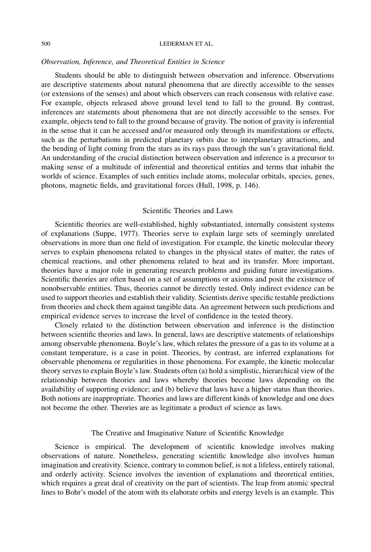#### Observation, Inference, and Theoretical Entities in Science

Students should be able to distinguish between observation and inference. Observations are descriptive statements about natural phenomena that are directly accessible to the senses (or extensions of the senses) and about which observers can reach consensus with relative ease. For example, objects released above ground level tend to fall to the ground. By contrast, inferences are statements about phenomena that are not directly accessible to the senses. For example, objects tend to fall to the ground because of gravity. The notion of gravity is inferential in the sense that it can be accessed and/or measured only through its manifestations or effects, such as the perturbations in predicted planetary orbits due to interplanetary attractions, and the bending of light coming from the stars as its rays pass through the sun's gravitational field. An understanding of the crucial distinction between observation and inference is a precursor to making sense of a multitude of inferential and theoretical entities and terms that inhabit the worlds of science. Examples of such entities include atoms, molecular orbitals, species, genes, photons, magnetic fields, and gravitational forces (Hull, 1998, p. 146).

# Scientific Theories and Laws

Scientific theories are well-established, highly substantiated, internally consistent systems of explanations (Suppe, 1977). Theories serve to explain large sets of seemingly unrelated observations in more than one field of investigation. For example, the kinetic molecular theory serves to explain phenomena related to changes in the physical states of matter, the rates of chemical reactions, and other phenomena related to heat and its transfer. More important, theories have a major role in generating research problems and guiding future investigations. Scientific theories are often based on a set of assumptions or axioms and posit the existence of nonobservable entities. Thus, theories cannot be directly tested. Only indirect evidence can be used to support theories and establish their validity. Scientists derive specific testable predictions from theories and check them against tangible data. An agreement between such predictions and empirical evidence serves to increase the level of confidence in the tested theory.

Closely related to the distinction between observation and inference is the distinction between scientific theories and laws. In general, laws are descriptive statements of relationships among observable phenomena. Boyle's law, which relates the pressure of a gas to its volume at a constant temperature, is a case in point. Theories, by contrast, are inferred explanations for observable phenomena or regularities in those phenomena. For example, the kinetic molecular theory serves to explain Boyle's law. Students often (a) hold a simplistic, hierarchical view of the relationship between theories and laws whereby theories become laws depending on the availability of supporting evidence; and (b) believe that laws have a higher status than theories. Both notions are inappropriate. Theories and laws are different kinds of knowledge and one does not become the other. Theories are as legitimate a product of science as laws.

# The Creative and Imaginative Nature of Scientific Knowledge

Science is empirical. The development of scientific knowledge involves making observations of nature. Nonetheless, generating scientific knowledge also involves human imagination and creativity. Science, contrary to common belief, is not a lifeless, entirely rational, and orderly activity. Science involves the invention of explanations and theoretical entities, which requires a great deal of creativity on the part of scientists. The leap from atomic spectral lines to Bohr's model of the atom with its elaborate orbits and energy levels is an example. This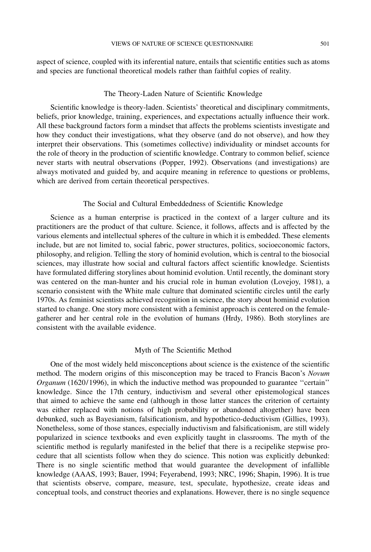aspect of science, coupled with its inferential nature, entails that scientific entities such as atoms and species are functional theoretical models rather than faithful copies of reality.

# The Theory-Laden Nature of Scientific Knowledge

Scientific knowledge is theory-laden. Scientists' theoretical and disciplinary commitments, beliefs, prior knowledge, training, experiences, and expectations actually influence their work. All these background factors form a mindset that affects the problems scientists investigate and how they conduct their investigations, what they observe (and do not observe), and how they interpret their observations. This (sometimes collective) individuality or mindset accounts for the role of theory in the production of scientific knowledge. Contrary to common belief, science never starts with neutral observations (Popper, 1992). Observations (and investigations) are always motivated and guided by, and acquire meaning in reference to questions or problems, which are derived from certain theoretical perspectives.

# The Social and Cultural Embeddedness of Scientific Knowledge

Science as a human enterprise is practiced in the context of a larger culture and its practitioners are the product of that culture. Science, it follows, affects and is affected by the various elements and intellectual spheres of the culture in which it is embedded. These elements include, but are not limited to, social fabric, power structures, politics, socioeconomic factors, philosophy, and religion. Telling the story of hominid evolution, which is central to the biosocial sciences, may illustrate how social and cultural factors affect scientific knowledge. Scientists have formulated differing storylines about hominid evolution. Until recently, the dominant story was centered on the man-hunter and his crucial role in human evolution (Lovejoy, 1981), a scenario consistent with the White male culture that dominated scientific circles until the early 1970s. As feminist scientists achieved recognition in science, the story about hominid evolution started to change. One story more consistent with a feminist approach is centered on the femalegatherer and her central role in the evolution of humans (Hrdy, 1986). Both storylines are consistent with the available evidence.

### Myth of The Scientific Method

One of the most widely held misconceptions about science is the existence of the scientific method. The modern origins of this misconception may be traced to Francis Bacon's Novum Organum (1620/1996), in which the inductive method was propounded to guarantee ''certain'' knowledge. Since the 17th century, inductivism and several other epistemological stances that aimed to achieve the same end (although in those latter stances the criterion of certainty was either replaced with notions of high probability or abandoned altogether) have been debunked, such as Bayesianism, falsificationism, and hypothetico-deductivism (Gillies, 1993). Nonetheless, some of those stances, especially inductivism and falsificationism, are still widely popularized in science textbooks and even explicitly taught in classrooms. The myth of the scientific method is regularly manifested in the belief that there is a recipelike stepwise procedure that all scientists follow when they do science. This notion was explicitly debunked: There is no single scientific method that would guarantee the development of infallible knowledge (AAAS, 1993; Bauer, 1994; Feyerabend, 1993; NRC, 1996; Shapin, 1996). It is true that scientists observe, compare, measure, test, speculate, hypothesize, create ideas and conceptual tools, and construct theories and explanations. However, there is no single sequence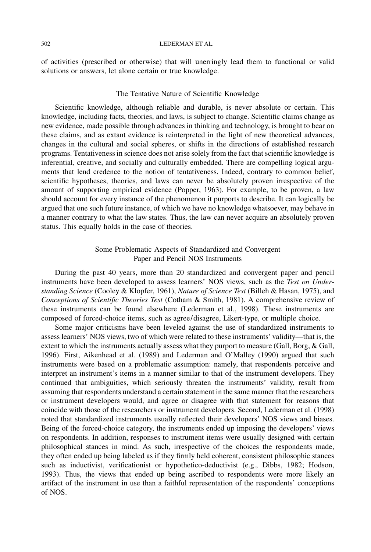of activities (prescribed or otherwise) that will unerringly lead them to functional or valid solutions or answers, let alone certain or true knowledge.

# The Tentative Nature of Scientific Knowledge

Scientific knowledge, although reliable and durable, is never absolute or certain. This knowledge, including facts, theories, and laws, is subject to change. Scientific claims change as new evidence, made possible through advances in thinking and technology, is brought to bear on these claims, and as extant evidence is reinterpreted in the light of new theoretical advances, changes in the cultural and social spheres, or shifts in the directions of established research programs. Tentativeness in science does not arise solely from the fact that scientific knowledge is inferential, creative, and socially and culturally embedded. There are compelling logical arguments that lend credence to the notion of tentativeness. Indeed, contrary to common belief, scientific hypotheses, theories, and laws can never be absolutely proven irrespective of the amount of supporting empirical evidence (Popper, 1963). For example, to be proven, a law should account for every instance of the phenomenon it purports to describe. It can logically be argued that one such future instance, of which we have no knowledge whatsoever, may behave in a manner contrary to what the law states. Thus, the law can never acquire an absolutely proven status. This equally holds in the case of theories.

# Some Problematic Aspects of Standardized and Convergent Paper and Pencil NOS Instruments

During the past 40 years, more than 20 standardized and convergent paper and pencil instruments have been developed to assess learners' NOS views, such as the Test on Understanding Science (Cooley & Klopfer, 1961), Nature of Science Test (Billeh & Hasan, 1975), and Conceptions of Scientific Theories Test (Cotham & Smith, 1981). A comprehensive review of these instruments can be found elsewhere (Lederman et al., 1998). These instruments are composed of forced-choice items, such as agree/disagree, Likert-type, or multiple choice.

Some major criticisms have been leveled against the use of standardized instruments to assess learners' NOS views, two of which were related to these instruments' validity—that is, the extent to which the instruments actually assess what they purport to measure (Gall, Borg, & Gall, 1996). First, Aikenhead et al. (1989) and Lederman and O'Malley (1990) argued that such instruments were based on a problematic assumption: namely, that respondents perceive and interpret an instrument's items in a manner similar to that of the instrument developers. They continued that ambiguities, which seriously threaten the instruments' validity, result from assuming that respondents understand a certain statement in the same manner that the researchers or instrument developers would, and agree or disagree with that statement for reasons that coincide with those of the researchers or instrument developers. Second, Lederman et al. (1998) noted that standardized instruments usually reflected their developers' NOS views and biases. Being of the forced-choice category, the instruments ended up imposing the developers' views on respondents. In addition, responses to instrument items were usually designed with certain philosophical stances in mind. As such, irrespective of the choices the respondents made, they often ended up being labeled as if they firmly held coherent, consistent philosophic stances such as inductivist, verificationist or hypothetico-deductivist (e.g., Dibbs, 1982; Hodson, 1993). Thus, the views that ended up being ascribed to respondents were more likely an artifact of the instrument in use than a faithful representation of the respondents' conceptions of NOS.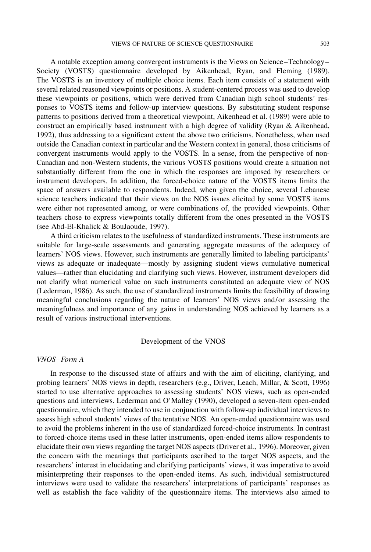A notable exception among convergent instruments is the Views on Science–Technology– Society (VOSTS) questionnaire developed by Aikenhead, Ryan, and Fleming (1989). The VOSTS is an inventory of multiple choice items. Each item consists of a statement with several related reasoned viewpoints or positions. A student-centered process was used to develop these viewpoints or positions, which were derived from Canadian high school students' responses to VOSTS items and follow-up interview questions. By substituting student response patterns to positions derived from a theoretical viewpoint, Aikenhead et al. (1989) were able to construct an empirically based instrument with a high degree of validity (Ryan & Aikenhead, 1992), thus addressing to a significant extent the above two criticisms. Nonetheless, when used outside the Canadian context in particular and the Western context in general, those criticisms of convergent instruments would apply to the VOSTS. In a sense, from the perspective of non-Canadian and non-Western students, the various VOSTS positions would create a situation not substantially different from the one in which the responses are imposed by researchers or instrument developers. In addition, the forced-choice nature of the VOSTS items limits the space of answers available to respondents. Indeed, when given the choice, several Lebanese science teachers indicated that their views on the NOS issues elicited by some VOSTS items were either not represented among, or were combinations of, the provided viewpoints. Other teachers chose to express viewpoints totally different from the ones presented in the VOSTS (see Abd-El-Khalick & BouJaoude, 1997).

A third criticism relates to the usefulness of standardized instruments. These instruments are suitable for large-scale assessments and generating aggregate measures of the adequacy of learners' NOS views. However, such instruments are generally limited to labeling participants' views as adequate or inadequate—mostly by assigning student views cumulative numerical values—rather than elucidating and clarifying such views. However, instrument developers did not clarify what numerical value on such instruments constituted an adequate view of NOS (Lederman, 1986). As such, the use of standardized instruments limits the feasibility of drawing meaningful conclusions regarding the nature of learners' NOS views and/or assessing the meaningfulness and importance of any gains in understanding NOS achieved by learners as a result of various instructional interventions.

#### Development of the VNOS

### VNOS–Form A

In response to the discussed state of affairs and with the aim of eliciting, clarifying, and probing learners' NOS views in depth, researchers (e.g., Driver, Leach, Millar, & Scott, 1996) started to use alternative approaches to assessing students' NOS views, such as open-ended questions and interviews. Lederman and O'Malley (1990), developed a seven-item open-ended questionnaire, which they intended to use in conjunction with follow-up individual interviews to assess high school students' views of the tentative NOS. An open-ended questionnaire was used to avoid the problems inherent in the use of standardized forced-choice instruments. In contrast to forced-choice items used in these latter instruments, open-ended items allow respondents to elucidate their own views regarding the target NOS aspects (Driver et al., 1996). Moreover, given the concern with the meanings that participants ascribed to the target NOS aspects, and the researchers' interest in elucidating and clarifying participants' views, it was imperative to avoid misinterpreting their responses to the open-ended items. As such, individual semistructured interviews were used to validate the researchers' interpretations of participants' responses as well as establish the face validity of the questionnaire items. The interviews also aimed to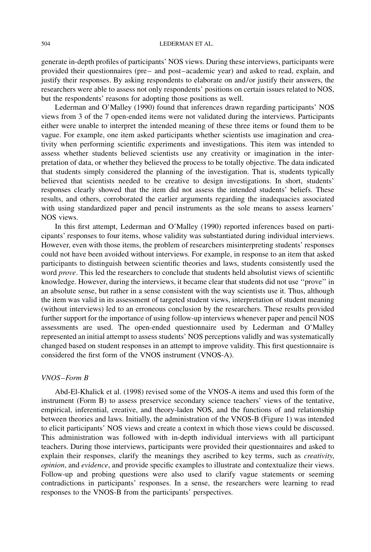generate in-depth profiles of participants' NOS views. During these interviews, participants were provided their questionnaires (pre– and post–academic year) and asked to read, explain, and justify their responses. By asking respondents to elaborate on and/or justify their answers, the researchers were able to assess not only respondents' positions on certain issues related to NOS, but the respondents' reasons for adopting those positions as well.

Lederman and O'Malley (1990) found that inferences drawn regarding participants' NOS views from 3 of the 7 open-ended items were not validated during the interviews. Participants either were unable to interpret the intended meaning of these three items or found them to be vague. For example, one item asked participants whether scientists use imagination and creativity when performing scientific experiments and investigations. This item was intended to assess whether students believed scientists use any creativity or imagination in the interpretation of data, or whether they believed the process to be totally objective. The data indicated that students simply considered the planning of the investigation. That is, students typically believed that scientists needed to be creative to design investigations. In short, students' responses clearly showed that the item did not assess the intended students' beliefs. These results, and others, corroborated the earlier arguments regarding the inadequacies associated with using standardized paper and pencil instruments as the sole means to assess learners' NOS views.

In this first attempt, Lederman and O'Malley (1990) reported inferences based on participants' responses to four items, whose validity was substantiated during individual interviews. However, even with those items, the problem of researchers misinterpreting students' responses could not have been avoided without interviews. For example, in response to an item that asked participants to distinguish between scientific theories and laws, students consistently used the word prove. This led the researchers to conclude that students held absolutist views of scientific knowledge. However, during the interviews, it became clear that students did not use ''prove'' in an absolute sense, but rather in a sense consistent with the way scientists use it. Thus, although the item was valid in its assessment of targeted student views, interpretation of student meaning (without interviews) led to an erroneous conclusion by the researchers. These results provided further support for the importance of using follow-up interviews whenever paper and pencil NOS assessments are used. The open-ended questionnaire used by Lederman and O'Malley represented an initial attempt to assess students' NOS perceptions validly and was systematically changed based on student responses in an attempt to improve validity. This first questionnaire is considered the first form of the VNOS instrument (VNOS-A).

## VNOS–Form B

Abd-El-Khalick et al. (1998) revised some of the VNOS-A items and used this form of the instrument (Form B) to assess preservice secondary science teachers' views of the tentative, empirical, inferential, creative, and theory-laden NOS, and the functions of and relationship between theories and laws. Initially, the administration of the VNOS-B (Figure 1) was intended to elicit participants' NOS views and create a context in which those views could be discussed. This administration was followed with in-depth individual interviews with all participant teachers. During those interviews, participants were provided their questionnaires and asked to explain their responses, clarify the meanings they ascribed to key terms, such as *creativity*, opinion, and evidence, and provide specific examples to illustrate and contextualize their views. Follow-up and probing questions were also used to clarify vague statements or seeming contradictions in participants' responses. In a sense, the researchers were learning to read responses to the VNOS-B from the participants' perspectives.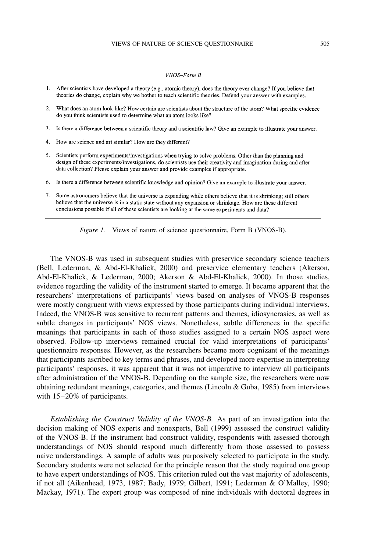#### VNOS-Form B

- 1. After scientists have developed a theory (e.g., atomic theory), does the theory ever change? If you believe that theories do change, explain why we bother to teach scientific theories. Defend your answer with examples.
- 2. What does an atom look like? How certain are scientists about the structure of the atom? What specific evidence do you think scientists used to determine what an atom looks like?
- 3. Is there a difference between a scientific theory and a scientific law? Give an example to illustrate your answer.
- 4. How are science and art similar? How are they different?
- 5. Scientists perform experiments/investigations when trying to solve problems. Other than the planning and design of these experiments/investigations, do scientists use their creativity and imagination during and after data collection? Please explain your answer and provide examples if appropriate.
- 6. Is there a difference between scientific knowledge and opinion? Give an example to illustrate your answer.
- 7. Some astronomers believe that the universe is expanding while others believe that it is shrinking; still others believe that the universe is in a static state without any expansion or shrinkage. How are these different conclusions possible if all of these scientists are looking at the same experiments and data?

Figure 1. Views of nature of science questionnaire, Form B (VNOS-B).

The VNOS-B was used in subsequent studies with preservice secondary science teachers (Bell, Lederman, & Abd-El-Khalick, 2000) and preservice elementary teachers (Akerson, Abd-El-Khalick, & Lederman, 2000; Akerson & Abd-El-Khalick, 2000). In those studies, evidence regarding the validity of the instrument started to emerge. It became apparent that the researchers' interpretations of participants' views based on analyses of VNOS-B responses were mostly congruent with views expressed by those participants during individual interviews. Indeed, the VNOS-B was sensitive to recurrent patterns and themes, idiosyncrasies, as well as subtle changes in participants' NOS views. Nonetheless, subtle differences in the specific meanings that participants in each of those studies assigned to a certain NOS aspect were observed. Follow-up interviews remained crucial for valid interpretations of participants' questionnaire responses. However, as the researchers became more cognizant of the meanings that participants ascribed to key terms and phrases, and developed more expertise in interpreting participants' responses, it was apparent that it was not imperative to interview all participants after administration of the VNOS-B. Depending on the sample size, the researchers were now obtaining redundant meanings, categories, and themes (Lincoln & Guba, 1985) from interviews with 15–20% of participants.

Establishing the Construct Validity of the VNOS-B. As part of an investigation into the decision making of NOS experts and nonexperts, Bell (1999) assessed the construct validity of the VNOS-B. If the instrument had construct validity, respondents with assessed thorough understandings of NOS should respond much differently from those assessed to possess naive understandings. A sample of adults was purposively selected to participate in the study. Secondary students were not selected for the principle reason that the study required one group to have expert understandings of NOS. This criterion ruled out the vast majority of adolescents, if not all (Aikenhead, 1973, 1987; Bady, 1979; Gilbert, 1991; Lederman & O'Malley, 1990; Mackay, 1971). The expert group was composed of nine individuals with doctoral degrees in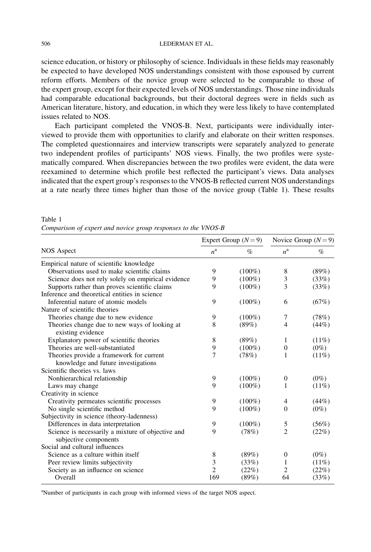science education, or history or philosophy of science. Individuals in these fields may reasonably be expected to have developed NOS understandings consistent with those espoused by current reform efforts. Members of the novice group were selected to be comparable to those of the expert group, except for their expected levels of NOS understandings. Those nine individuals had comparable educational backgrounds, but their doctoral degrees were in fields such as American literature, history, and education, in which they were less likely to have contemplated issues related to NOS.

Each participant completed the VNOS-B. Next, participants were individually interviewed to provide them with opportunities to clarify and elaborate on their written responses. The completed questionnaires and interview transcripts were separately analyzed to generate two independent profiles of participants' NOS views. Finally, the two profiles were systematically compared. When discrepancies between the two profiles were evident, the data were reexamined to determine which profile best reflected the participant's views. Data analyses indicated that the expert group's responses to the VNOS-B reflected current NOS understandings at a rate nearly three times higher than those of the novice group (Table 1). These results

|                                                    | Expert Group $(N=9)$ |           | Novice Group $(N=9)$ |          |
|----------------------------------------------------|----------------------|-----------|----------------------|----------|
| NOS Aspect                                         | $n^{\rm a}$          | $\%$      | $n^{\rm a}$          | $\%$     |
| Empirical nature of scientific knowledge           |                      |           |                      |          |
| Observations used to make scientific claims        | 9                    | $(100\%)$ | 8                    | (89%)    |
| Science does not rely solely on empirical evidence | 9                    | $(100\%)$ | 3                    | (33%)    |
| Supports rather than proves scientific claims      | 9                    | $(100\%)$ | 3                    | (33%)    |
| Inference and theoretical entities in science      |                      |           |                      |          |
| Inferential nature of atomic models                | 9                    | $(100\%)$ | 6                    | (67%)    |
| Nature of scientific theories                      |                      |           |                      |          |
| Theories change due to new evidence                | 9                    | $(100\%)$ | 7                    | (78%)    |
| Theories change due to new ways of looking at      | 8                    | (89%)     | 4                    | (44%)    |
| existing evidence                                  |                      |           |                      |          |
| Explanatory power of scientific theories           | 8                    | (89%)     | 1                    | $(11\%)$ |
| Theories are well-substantiated                    | 9                    | $(100\%)$ | $\boldsymbol{0}$     | $(0\%)$  |
| Theories provide a framework for current           | 7                    | (78%)     | 1                    | $(11\%)$ |
| knowledge and future investigations                |                      |           |                      |          |
| Scientific theories vs. laws                       |                      |           |                      |          |
| Nonhierarchical relationship                       | 9                    | $(100\%)$ | $\mathbf 0$          | $(0\%)$  |
| Laws may change                                    | 9                    | $(100\%)$ | 1                    | $(11\%)$ |
| Creativity in science                              |                      |           |                      |          |
| Creativity permeates scientific processes          | 9                    | $(100\%)$ | $\overline{4}$       | (44%)    |
| No single scientific method                        | 9                    | $(100\%)$ | $\Omega$             | $(0\%)$  |
| Subjectivity in science (theory-ladenness)         |                      |           |                      |          |
| Differences in data interpretation                 | 9                    | $(100\%)$ | 5                    | (56%)    |
| Science is necessarily a mixture of objective and  | 9                    | (78%)     | $\overline{2}$       | (22%)    |
| subjective components                              |                      |           |                      |          |
| Social and cultural influences                     |                      |           |                      |          |
| Science as a culture within itself                 | 8                    | (89%)     | $\boldsymbol{0}$     | $(0\%)$  |
| Peer review limits subjectivity                    | 3                    | (33%)     | $\mathbf{1}$         | $(11\%)$ |
| Society as an influence on science                 | $\overline{2}$       | (22%)     | $\overline{2}$       | (22%)    |
| Overall                                            | 169                  | (89%)     | 64                   | (33%)    |

Table 1 Comparison of expert and novice group responses to the VNOS-B

<sup>a</sup>Number of participants in each group with informed views of the target NOS aspect.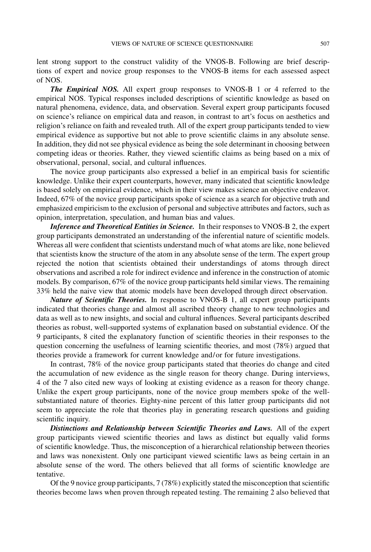lent strong support to the construct validity of the VNOS-B. Following are brief descriptions of expert and novice group responses to the VNOS-B items for each assessed aspect of NOS.

The Empirical NOS. All expert group responses to VNOS-B 1 or 4 referred to the empirical NOS. Typical responses included descriptions of scientific knowledge as based on natural phenomena, evidence, data, and observation. Several expert group participants focused on science's reliance on empirical data and reason, in contrast to art's focus on aesthetics and religion's reliance on faith and revealed truth. All of the expert group participants tended to view empirical evidence as supportive but not able to prove scientific claims in any absolute sense. In addition, they did not see physical evidence as being the sole determinant in choosing between competing ideas or theories. Rather, they viewed scientific claims as being based on a mix of observational, personal, social, and cultural influences.

The novice group participants also expressed a belief in an empirical basis for scientific knowledge. Unlike their expert counterparts, however, many indicated that scientific knowledge is based solely on empirical evidence, which in their view makes science an objective endeavor. Indeed, 67% of the novice group participants spoke of science as a search for objective truth and emphasized empiricism to the exclusion of personal and subjective attributes and factors, such as opinion, interpretation, speculation, and human bias and values.

Inference and Theoretical Entities in Science. In their responses to VNOS-B 2, the expert group participants demonstrated an understanding of the inferential nature of scientific models. Whereas all were confident that scientists understand much of what atoms are like, none believed that scientists know the structure of the atom in any absolute sense of the term. The expert group rejected the notion that scientists obtained their understandings of atoms through direct observations and ascribed a role for indirect evidence and inference in the construction of atomic models. By comparison, 67% of the novice group participants held similar views. The remaining 33% held the naive view that atomic models have been developed through direct observation.

Nature of Scientific Theories. In response to VNOS-B 1, all expert group participants indicated that theories change and almost all ascribed theory change to new technologies and data as well as to new insights, and social and cultural influences. Several participants described theories as robust, well-supported systems of explanation based on substantial evidence. Of the 9 participants, 8 cited the explanatory function of scientific theories in their responses to the question concerning the usefulness of learning scientific theories, and most (78%) argued that theories provide a framework for current knowledge and/or for future investigations.

In contrast, 78% of the novice group participants stated that theories do change and cited the accumulation of new evidence as the single reason for theory change. During interviews, 4 of the 7 also cited new ways of looking at existing evidence as a reason for theory change. Unlike the expert group participants, none of the novice group members spoke of the wellsubstantiated nature of theories. Eighty-nine percent of this latter group participants did not seem to appreciate the role that theories play in generating research questions and guiding scientific inquiry.

Distinctions and Relationship between Scientific Theories and Laws. All of the expert group participants viewed scientific theories and laws as distinct but equally valid forms of scientific knowledge. Thus, the misconception of a hierarchical relationship between theories and laws was nonexistent. Only one participant viewed scientific laws as being certain in an absolute sense of the word. The others believed that all forms of scientific knowledge are tentative.

Of the 9 novice group participants, 7 (78%) explicitly stated the misconception that scientific theories become laws when proven through repeated testing. The remaining 2 also believed that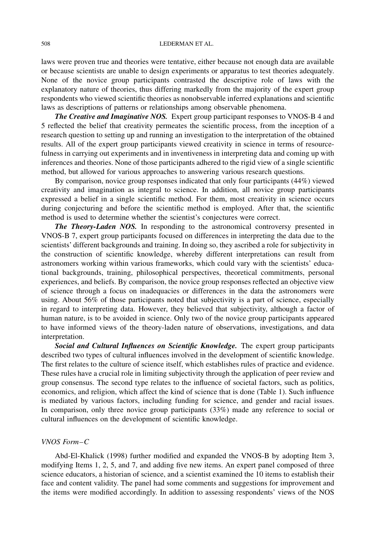laws were proven true and theories were tentative, either because not enough data are available or because scientists are unable to design experiments or apparatus to test theories adequately. None of the novice group participants contrasted the descriptive role of laws with the explanatory nature of theories, thus differing markedly from the majority of the expert group respondents who viewed scientific theories as nonobservable inferred explanations and scientific laws as descriptions of patterns or relationships among observable phenomena.

The Creative and Imaginative NOS. Expert group participant responses to VNOS-B 4 and 5 reflected the belief that creativity permeates the scientific process, from the inception of a research question to setting up and running an investigation to the interpretation of the obtained results. All of the expert group participants viewed creativity in science in terms of resourcefulness in carrying out experiments and in inventiveness in interpreting data and coming up with inferences and theories. None of those participants adhered to the rigid view of a single scientific method, but allowed for various approaches to answering various research questions.

By comparison, novice group responses indicated that only four participants (44%) viewed creativity and imagination as integral to science. In addition, all novice group participants expressed a belief in a single scientific method. For them, most creativity in science occurs during conjecturing and before the scientific method is employed. After that, the scientific method is used to determine whether the scientist's conjectures were correct.

The Theory-Laden NOS. In responding to the astronomical controversy presented in VNOS-B 7, expert group participants focused on differences in interpreting the data due to the scientists' different backgrounds and training. In doing so, they ascribed a role for subjectivity in the construction of scientific knowledge, whereby different interpretations can result from astronomers working within various frameworks, which could vary with the scientists' educational backgrounds, training, philosophical perspectives, theoretical commitments, personal experiences, and beliefs. By comparison, the novice group responses reflected an objective view of science through a focus on inadequacies or differences in the data the astronomers were using. About 56% of those participants noted that subjectivity is a part of science, especially in regard to interpreting data. However, they believed that subjectivity, although a factor of human nature, is to be avoided in science. Only two of the novice group participants appeared to have informed views of the theory-laden nature of observations, investigations, and data interpretation.

Social and Cultural Influences on Scientific Knowledge. The expert group participants described two types of cultural influences involved in the development of scientific knowledge. The first relates to the culture of science itself, which establishes rules of practice and evidence. These rules have a crucial role in limiting subjectivity through the application of peer review and group consensus. The second type relates to the influence of societal factors, such as politics, economics, and religion, which affect the kind of science that is done (Table 1). Such influence is mediated by various factors, including funding for science, and gender and racial issues. In comparison, only three novice group participants (33%) made any reference to social or cultural influences on the development of scientific knowledge.

#### VNOS Form–C

Abd-El-Khalick (1998) further modified and expanded the VNOS-B by adopting Item 3, modifying Items 1, 2, 5, and 7, and adding five new items. An expert panel composed of three science educators, a historian of science, and a scientist examined the 10 items to establish their face and content validity. The panel had some comments and suggestions for improvement and the items were modified accordingly. In addition to assessing respondents' views of the NOS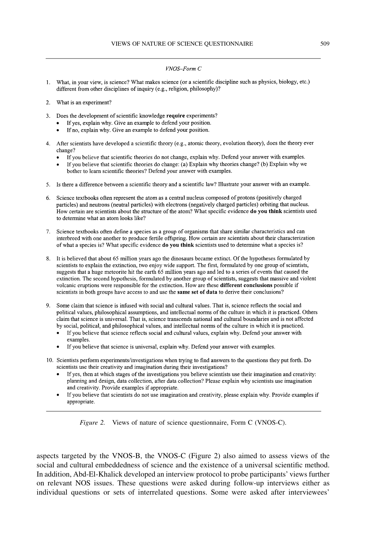#### VNOS-Form C

- 1. What, in your view, is science? What makes science (or a scientific discipline such as physics, biology, etc.) different from other disciplines of inquiry (e.g., religion, philosophy)?
- 2. What is an experiment?
- 3. Does the development of scientific knowledge require experiments?
	- If yes, explain why. Give an example to defend your position.
	- If no, explain why. Give an example to defend your position.
- 4. After scientists have developed a scientific theory (e.g., atomic theory, evolution theory), does the theory ever change?
	- If you believe that scientific theories do not change, explain why. Defend your answer with examples.
	- If you believe that scientific theories do change: (a) Explain why theories change? (b) Explain why we bother to learn scientific theories? Defend your answer with examples.
- 5. Is there a difference between a scientific theory and a scientific law? Illustrate your answer with an example.
- 6. Science textbooks often represent the atom as a central nucleus composed of protons (positively charged particles) and neutrons (neutral particles) with electrons (negatively charged particles) orbiting that nucleus. How certain are scientists about the structure of the atom? What specific evidence do you think scientists used to determine what an atom looks like?
- 7. Science textbooks often define a species as a group of organisms that share similar characteristics and can interbreed with one another to produce fertile offspring. How certain are scientists about their characterization of what a species is? What specific evidence do you think scientists used to determine what a species is?
- 8. It is believed that about 65 million years ago the dinosaurs became extinct. Of the hypotheses formulated by scientists to explain the extinction, two enjoy wide support. The first, formulated by one group of scientists, suggests that a huge meteorite hit the earth 65 million years ago and led to a series of events that caused the extinction. The second hypothesis, formulated by another group of scientists, suggests that massive and violent volcanic eruptions were responsible for the extinction. How are these different conclusions possible if scientists in both groups have access to and use the same set of data to derive their conclusions?
- 9. Some claim that science is infused with social and cultural values. That is, science reflects the social and political values, philosophical assumptions, and intellectual norms of the culture in which it is practiced. Others claim that science is universal. That is, science transcends national and cultural boundaries and is not affected by social, political, and philosophical values, and intellectual norms of the culture in which it is practiced.
	- If you believe that science reflects social and cultural values, explain why. Defend your answer with examples.
	- If you believe that science is universal, explain why. Defend your answer with examples.
- 10. Scientists perform experiments/investigations when trying to find answers to the questions they put forth. Do scientists use their creativity and imagination during their investigations?
	- If yes, then at which stages of the investigations you believe scientists use their imagination and creativity: planning and design, data collection, after data collection? Please explain why scientists use imagination and creativity. Provide examples if appropriate.
	- If you believe that scientists do not use imagination and creativity, please explain why. Provide examples if appropriate.

Figure 2. Views of nature of science questionnaire, Form C (VNOS-C).

aspects targeted by the VNOS-B, the VNOS-C (Figure 2) also aimed to assess views of the social and cultural embeddedness of science and the existence of a universal scientific method. In addition, Abd-El-Khalick developed an interview protocol to probe participants' views further on relevant NOS issues. These questions were asked during follow-up interviews either as individual questions or sets of interrelated questions. Some were asked after interviewees'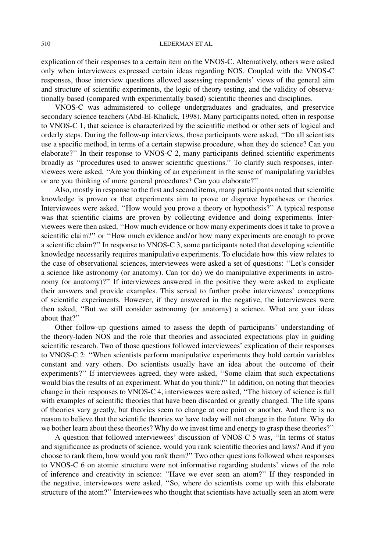explication of their responses to a certain item on the VNOS-C. Alternatively, others were asked only when interviewees expressed certain ideas regarding NOS. Coupled with the VNOS-C responses, those interview questions allowed assessing respondents' views of the general aim and structure of scientific experiments, the logic of theory testing, and the validity of observationally based (compared with experimentally based) scientific theories and disciplines.

VNOS-C was administered to college undergraduates and graduates, and preservice secondary science teachers (Abd-El-Khalick, 1998). Many participants noted, often in response to VNOS-C 1, that science is characterized by the scientific method or other sets of logical and orderly steps. During the follow-up interviews, those participants were asked, ''Do all scientists use a specific method, in terms of a certain stepwise procedure, when they do science? Can you elaborate?'' In their response to VNOS-C 2, many participants defined scientific experiments broadly as ''procedures used to answer scientific questions.'' To clarify such responses, interviewees were asked, ''Are you thinking of an experiment in the sense of manipulating variables or are you thinking of more general procedures? Can you elaborate?''

Also, mostly in response to the first and second items, many participants noted that scientific knowledge is proven or that experiments aim to prove or disprove hypotheses or theories. Interviewees were asked, ''How would you prove a theory or hypothesis?'' A typical response was that scientific claims are proven by collecting evidence and doing experiments. Interviewees were then asked, ''How much evidence or how many experiments does it take to prove a scientific claim?'' or ''How much evidence and/or how many experiments are enough to prove a scientific claim?'' In response to VNOS-C 3, some participants noted that developing scientific knowledge necessarily requires manipulative experiments. To elucidate how this view relates to the case of observational sciences, interviewees were asked a set of questions: ''Let's consider a science like astronomy (or anatomy). Can (or do) we do manipulative experiments in astronomy (or anatomy)?'' If interviewees answered in the positive they were asked to explicate their answers and provide examples. This served to further probe interviewees' conceptions of scientific experiments. However, if they answered in the negative, the interviewees were then asked, ''But we still consider astronomy (or anatomy) a science. What are your ideas about that?''

Other follow-up questions aimed to assess the depth of participants' understanding of the theory-laden NOS and the role that theories and associated expectations play in guiding scientific research. Two of those questions followed interviewees' explication of their responses to VNOS-C 2: ''When scientists perform manipulative experiments they hold certain variables constant and vary others. Do scientists usually have an idea about the outcome of their experiments?'' If interviewees agreed, they were asked, ''Some claim that such expectations would bias the results of an experiment. What do you think?'' In addition, on noting that theories change in their responses to VNOS-C 4, interviewees were asked, ''The history of science is full with examples of scientific theories that have been discarded or greatly changed. The life spans of theories vary greatly, but theories seem to change at one point or another. And there is no reason to believe that the scientific theories we have today will not change in the future. Why do we bother learn about these theories? Why do we invest time and energy to grasp these theories?''

A question that followed interviewees' discussion of VNOS-C 5 was, ''In terms of status and significance as products of science, would you rank scientific theories and laws? And if you choose to rank them, how would you rank them?'' Two other questions followed when responses to VNOS-C 6 on atomic structure were not informative regarding students' views of the role of inference and creativity in science: ''Have we ever seen an atom?'' If they responded in the negative, interviewees were asked, ''So, where do scientists come up with this elaborate structure of the atom?'' Interviewees who thought that scientists have actually seen an atom were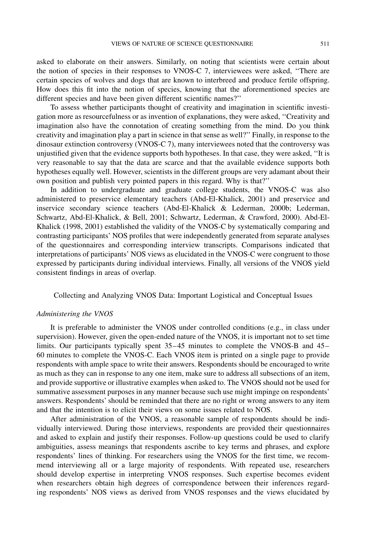asked to elaborate on their answers. Similarly, on noting that scientists were certain about the notion of species in their responses to VNOS-C 7, interviewees were asked, ''There are certain species of wolves and dogs that are known to interbreed and produce fertile offspring. How does this fit into the notion of species, knowing that the aforementioned species are different species and have been given different scientific names?''

To assess whether participants thought of creativity and imagination in scientific investigation more as resourcefulness or as invention of explanations, they were asked, ''Creativity and imagination also have the connotation of creating something from the mind. Do you think creativity and imagination play a part in science in that sense as well?'' Finally, in response to the dinosaur extinction controversy (VNOS-C 7), many interviewees noted that the controversy was unjustified given that the evidence supports both hypotheses. In that case, they were asked, ''It is very reasonable to say that the data are scarce and that the available evidence supports both hypotheses equally well. However, scientists in the different groups are very adamant about their own position and publish very pointed papers in this regard. Why is that?''

In addition to undergraduate and graduate college students, the VNOS-C was also administered to preservice elementary teachers (Abd-El-Khalick, 2001) and preservice and inservice secondary science teachers (Abd-El-Khalick & Lederman, 2000b; Lederman, Schwartz, Abd-El-Khalick, & Bell, 2001; Schwartz, Lederman, & Crawford, 2000). Abd-El-Khalick (1998, 2001) established the validity of the VNOS-C by systematically comparing and contrasting participants' NOS profiles that were independently generated from separate analyses of the questionnaires and corresponding interview transcripts. Comparisons indicated that interpretations of participants' NOS views as elucidated in the VNOS-C were congruent to those expressed by participants during individual interviews. Finally, all versions of the VNOS yield consistent findings in areas of overlap.

Collecting and Analyzing VNOS Data: Important Logistical and Conceptual Issues

## Administering the VNOS

It is preferable to administer the VNOS under controlled conditions (e.g., in class under supervision). However, given the open-ended nature of the VNOS, it is important not to set time limits. Our participants typically spent 35–45 minutes to complete the VNOS-B and 45– 60 minutes to complete the VNOS-C. Each VNOS item is printed on a single page to provide respondents with ample space to write their answers. Respondents should be encouraged to write as much as they can in response to any one item, make sure to address all subsections of an item, and provide supportive or illustrative examples when asked to. The VNOS should not be used for summative assessment purposes in any manner because such use might impinge on respondents' answers. Respondents' should be reminded that there are no right or wrong answers to any item and that the intention is to elicit their views on some issues related to NOS.

After administration of the VNOS, a reasonable sample of respondents should be individually interviewed. During those interviews, respondents are provided their questionnaires and asked to explain and justify their responses. Follow-up questions could be used to clarify ambiguities, assess meanings that respondents ascribe to key terms and phrases, and explore respondents' lines of thinking. For researchers using the VNOS for the first time, we recommend interviewing all or a large majority of respondents. With repeated use, researchers should develop expertise in interpreting VNOS responses. Such expertise becomes evident when researchers obtain high degrees of correspondence between their inferences regarding respondents' NOS views as derived from VNOS responses and the views elucidated by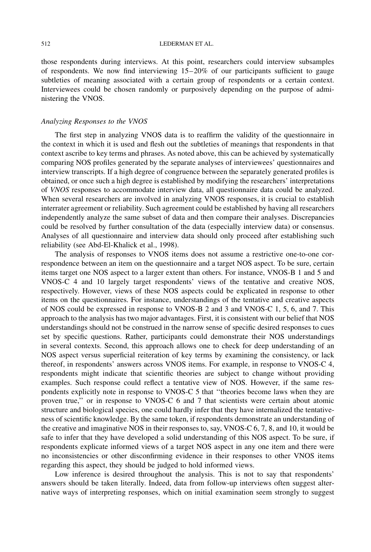those respondents during interviews. At this point, researchers could interview subsamples of respondents. We now find interviewing 15–20% of our participants sufficient to gauge subtleties of meaning associated with a certain group of respondents or a certain context. Interviewees could be chosen randomly or purposively depending on the purpose of administering the VNOS.

#### Analyzing Responses to the VNOS

The first step in analyzing VNOS data is to reaffirm the validity of the questionnaire in the context in which it is used and flesh out the subtleties of meanings that respondents in that context ascribe to key terms and phrases. As noted above, this can be achieved by systematically comparing NOS profiles generated by the separate analyses of interviewees' questionnaires and interview transcripts. If a high degree of congruence between the separately generated profiles is obtained, or once such a high degree is established by modifying the researchers' interpretations of VNOS responses to accommodate interview data, all questionnaire data could be analyzed. When several researchers are involved in analyzing VNOS responses, it is crucial to establish interrater agreement or reliability. Such agreement could be established by having all researchers independently analyze the same subset of data and then compare their analyses. Discrepancies could be resolved by further consultation of the data (especially interview data) or consensus. Analyses of all questionnaire and interview data should only proceed after establishing such reliability (see Abd-El-Khalick et al., 1998).

The analysis of responses to VNOS items does not assume a restrictive one-to-one correspondence between an item on the questionnaire and a target NOS aspect. To be sure, certain items target one NOS aspect to a larger extent than others. For instance, VNOS-B 1 and 5 and VNOS-C 4 and 10 largely target respondents' views of the tentative and creative NOS, respectively. However, views of these NOS aspects could be explicated in response to other items on the questionnaires. For instance, understandings of the tentative and creative aspects of NOS could be expressed in response to VNOS-B 2 and 3 and VNOS-C 1, 5, 6, and 7. This approach to the analysis has two major advantages. First, it is consistent with our belief that NOS understandings should not be construed in the narrow sense of specific desired responses to cues set by specific questions. Rather, participants could demonstrate their NOS understandings in several contexts. Second, this approach allows one to check for deep understanding of an NOS aspect versus superficial reiteration of key terms by examining the consistency, or lack thereof, in respondents' answers across VNOS items. For example, in response to VNOS-C 4, respondents might indicate that scientific theories are subject to change without providing examples. Such response could reflect a tentative view of NOS. However, if the same respondents explicitly note in response to VNOS-C 5 that ''theories become laws when they are proven true,'' or in response to VNOS-C 6 and 7 that scientists were certain about atomic structure and biological species, one could hardly infer that they have internalized the tentativeness of scientific knowledge. By the same token, if respondents demonstrate an understanding of the creative and imaginative NOS in their responses to, say, VNOS-C 6, 7, 8, and 10, it would be safe to infer that they have developed a solid understanding of this NOS aspect. To be sure, if respondents explicate informed views of a target NOS aspect in any one item and there were no inconsistencies or other disconfirming evidence in their responses to other VNOS items regarding this aspect, they should be judged to hold informed views.

Low inference is desired throughout the analysis. This is not to say that respondents' answers should be taken literally. Indeed, data from follow-up interviews often suggest alternative ways of interpreting responses, which on initial examination seem strongly to suggest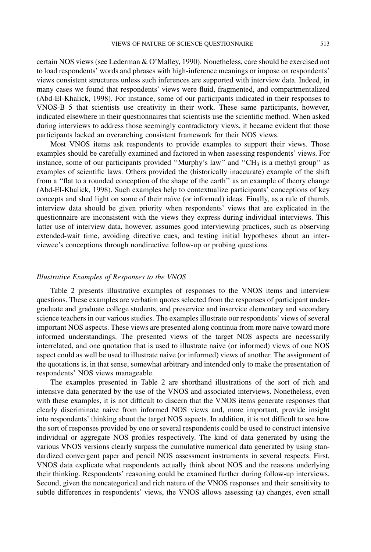certain NOS views (see Lederman & O'Malley, 1990). Nonetheless, care should be exercised not to load respondents' words and phrases with high-inference meanings or impose on respondents' views consistent structures unless such inferences are supported with interview data. Indeed, in many cases we found that respondents' views were fluid, fragmented, and compartmentalized (Abd-El-Khalick, 1998). For instance, some of our participants indicated in their responses to VNOS-B 5 that scientists use creativity in their work. These same participants, however, indicated elsewhere in their questionnaires that scientists use the scientific method. When asked during interviews to address those seemingly contradictory views, it became evident that those participants lacked an overarching consistent framework for their NOS views.

Most VNOS items ask respondents to provide examples to support their views. Those examples should be carefully examined and factored in when assessing respondents' views. For instance, some of our participants provided "Murphy's law" and "CH<sub>3</sub> is a methyl group" as examples of scientific laws. Others provided the (historically inaccurate) example of the shift from a ''flat to a rounded conception of the shape of the earth'' as an example of theory change (Abd-El-Khalick, 1998). Such examples help to contextualize participants' conceptions of key concepts and shed light on some of their naïve (or informed) ideas. Finally, as a rule of thumb, interview data should be given priority when respondents' views that are explicated in the questionnaire are inconsistent with the views they express during individual interviews. This latter use of interview data, however, assumes good interviewing practices, such as observing extended-wait time, avoiding directive cues, and testing initial hypotheses about an interviewee's conceptions through nondirective follow-up or probing questions.

### Illustrative Examples of Responses to the VNOS

Table 2 presents illustrative examples of responses to the VNOS items and interview questions. These examples are verbatim quotes selected from the responses of participant undergraduate and graduate college students, and preservice and inservice elementary and secondary science teachers in our various studies. The examples illustrate our respondents' views of several important NOS aspects. These views are presented along continua from more naive toward more informed understandings. The presented views of the target NOS aspects are necessarily interrelated, and one quotation that is used to illustrate naive (or informed) views of one NOS aspect could as well be used to illustrate naive (or informed) views of another. The assignment of the quotations is, in that sense, somewhat arbitrary and intended only to make the presentation of respondents' NOS views manageable.

The examples presented in Table 2 are shorthand illustrations of the sort of rich and intensive data generated by the use of the VNOS and associated interviews. Nonetheless, even with these examples, it is not difficult to discern that the VNOS items generate responses that clearly discriminate naive from informed NOS views and, more important, provide insight into respondents' thinking about the target NOS aspects. In addition, it is not difficult to see how the sort of responses provided by one or several respondents could be used to construct intensive individual or aggregate NOS profiles respectively. The kind of data generated by using the various VNOS versions clearly surpass the cumulative numerical data generated by using standardized convergent paper and pencil NOS assessment instruments in several respects. First, VNOS data explicate what respondents actually think about NOS and the reasons underlying their thinking. Respondents' reasoning could be examined further during follow-up interviews. Second, given the noncategorical and rich nature of the VNOS responses and their sensitivity to subtle differences in respondents' views, the VNOS allows assessing (a) changes, even small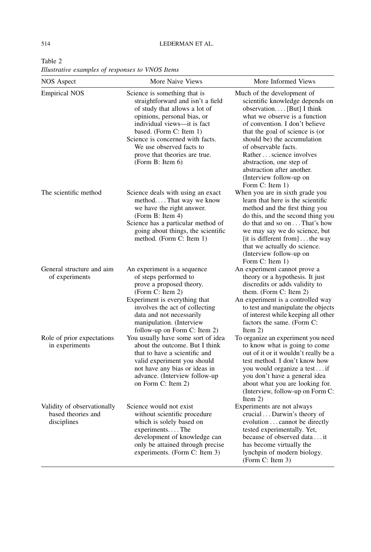| NOS Aspect                                                       | More Naive Views                                                                                                                                                                                                                                                                                                       | More Informed Views                                                                                                                                                                                                                                                                                                                                                                         |
|------------------------------------------------------------------|------------------------------------------------------------------------------------------------------------------------------------------------------------------------------------------------------------------------------------------------------------------------------------------------------------------------|---------------------------------------------------------------------------------------------------------------------------------------------------------------------------------------------------------------------------------------------------------------------------------------------------------------------------------------------------------------------------------------------|
| <b>Empirical NOS</b>                                             | Science is something that is<br>straightforward and isn't a field<br>of study that allows a lot of<br>opinions, personal bias, or<br>individual views-it is fact<br>based. (Form C: Item 1)<br>Science is concerned with facts.<br>We use observed facts to<br>prove that theories are true.<br>(Form $B$ : Item $6$ ) | Much of the development of<br>scientific knowledge depends on<br>observation. [But] I think<br>what we observe is a function<br>of convention. I don't believe<br>that the goal of science is (or<br>should be) the accumulation<br>of observable facts.<br>Rather science involves<br>abstraction, one step of<br>abstraction after another.<br>(Interview follow-up on<br>Form C: Item 1) |
| The scientific method                                            | Science deals with using an exact<br>methodThat way we know<br>we have the right answer.<br>(Form B: Item 4)<br>Science has a particular method of<br>going about things, the scientific<br>method. (Form C: Item 1)                                                                                                   | When you are in sixth grade you<br>learn that here is the scientific<br>method and the first thing you<br>do this, and the second thing you<br>do that and so on That's how<br>we may say we do science, but<br>[it is different from] the way<br>that we actually do science.<br>(Interview follow-up on<br>Form C: Item 1)                                                                |
| General structure and aim<br>of experiments                      | An experiment is a sequence<br>of steps performed to<br>prove a proposed theory.<br>(Form C: Item 2)<br>Experiment is everything that<br>involves the act of collecting<br>data and not necessarily<br>manipulation. (Interview<br>follow-up on Form C: Item 2)                                                        | An experiment cannot prove a<br>theory or a hypothesis. It just<br>discredits or adds validity to<br>them. (Form $C:$ Item $2)$<br>An experiment is a controlled way<br>to test and manipulate the objects<br>of interest while keeping all other<br>factors the same. (Form C:<br>Item $2)$                                                                                                |
| Role of prior expectations<br>in experiments                     | You usually have some sort of idea<br>about the outcome. But I think<br>that to have a scientific and<br>valid experiment you should<br>not have any bias or ideas in<br>advance. (Interview follow-up<br>on Form C: Item 2)                                                                                           | To organize an experiment you need<br>to know what is going to come<br>out of it or it wouldn't really be a<br>test method. I don't know how<br>you would organize a testif<br>you don't have a general idea<br>about what you are looking for.<br>(Interview, follow-up on Form C:<br>Item $2)$                                                                                            |
| Validity of observationally<br>based theories and<br>disciplines | Science would not exist<br>without scientific procedure<br>which is solely based on<br>experimentsThe<br>development of knowledge can<br>only be attained through precise<br>experiments. (Form C: Item 3)                                                                                                             | Experiments are not always<br>crucial Darwin's theory of<br>evolution cannot be directly<br>tested experimentally. Yet,<br>because of observed datait<br>has become virtually the<br>lynchpin of modern biology.<br>(Form C: Item 3)                                                                                                                                                        |

Table 2 Illustrative examples of responses to VNOS Items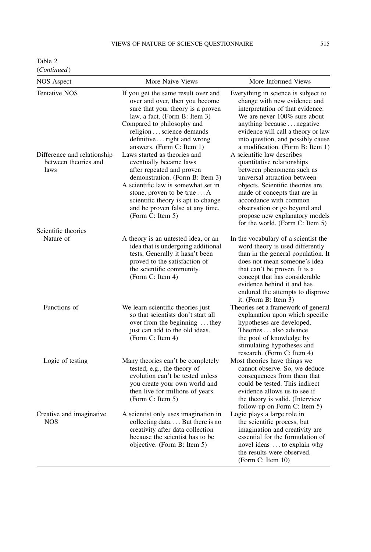| Lante. |  |
|--------|--|
|        |  |

(Continued)

| NOS Aspect                                                  | More Naive Views                                                                                                                                                                                                                                                                          | More Informed Views                                                                                                                                                                                                                                                                                                      |
|-------------------------------------------------------------|-------------------------------------------------------------------------------------------------------------------------------------------------------------------------------------------------------------------------------------------------------------------------------------------|--------------------------------------------------------------------------------------------------------------------------------------------------------------------------------------------------------------------------------------------------------------------------------------------------------------------------|
| <b>Tentative NOS</b>                                        | If you get the same result over and<br>over and over, then you become<br>sure that your theory is a proven<br>law, a fact. (Form B: Item 3)<br>Compared to philosophy and<br>religion science demands<br>definitive right and wrong<br>answers. (Form C: Item 1)                          | Everything in science is subject to<br>change with new evidence and<br>interpretation of that evidence.<br>We are never 100% sure about<br>anything because negative<br>evidence will call a theory or law<br>into question, and possibly cause<br>a modification. (Form B: Item 1)                                      |
| Difference and relationship<br>between theories and<br>laws | Laws started as theories and<br>eventually became laws<br>after repeated and proven<br>demonstration. (Form B: Item 3)<br>A scientific law is somewhat set in<br>stone, proven to be true A<br>scientific theory is apt to change<br>and be proven false at any time.<br>(Form C: Item 5) | A scientific law describes<br>quantitative relationships<br>between phenomena such as<br>universal attraction between<br>objects. Scientific theories are<br>made of concepts that are in<br>accordance with common<br>observation or go beyond and<br>propose new explanatory models<br>for the world. (Form C: Item 5) |
| Scientific theories<br>Nature of                            | A theory is an untested idea, or an<br>idea that is undergoing additional<br>tests, Generally it hasn't been<br>proved to the satisfaction of<br>the scientific community.<br>(Form C: Item 4)                                                                                            | In the vocabulary of a scientist the<br>word theory is used differently<br>than in the general population. It<br>does not mean someone's idea<br>that can't be proven. It is a<br>concept that has considerable<br>evidence behind it and has<br>endured the attempts to disprove<br>it. (Form B: Item 3)                |
| Functions of                                                | We learn scientific theories just<br>so that scientists don't start all<br>over from the beginning  they<br>just can add to the old ideas.<br>(Form C: Item 4)                                                                                                                            | Theories set a framework of general<br>explanation upon which specific<br>hypotheses are developed.<br>Theories also advance<br>the pool of knowledge by<br>stimulating hypotheses and<br>research. (Form C: Item 4)                                                                                                     |
| Logic of testing                                            | Many theories can't be completely<br>tested, e.g., the theory of<br>evolution can't be tested unless<br>you create your own world and<br>then live for millions of years.<br>(Form C: Item 5)                                                                                             | Most theories have things we<br>cannot observe. So, we deduce<br>consequences from them that<br>could be tested. This indirect<br>evidence allows us to see if<br>the theory is valid. (Interview<br>follow-up on Form C: Item 5)                                                                                        |
| Creative and imaginative<br><b>NOS</b>                      | A scientist only uses imagination in<br>collecting data But there is no<br>creativity after data collection<br>because the scientist has to be<br>objective. (Form B: Item 5)                                                                                                             | Logic plays a large role in<br>the scientific process, but<br>imagination and creativity are<br>essential for the formulation of<br>novel ideas to explain why<br>the results were observed.<br>(Form C: Item 10)                                                                                                        |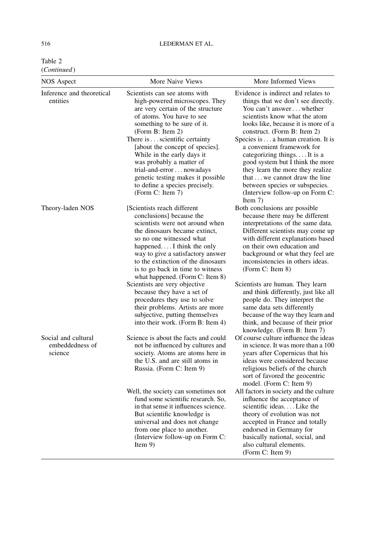| Table 2     |
|-------------|
| (Continued) |

| NOS Aspect                            | More Naive Views                                                                                                                                                                                                                                                                                                                                                                                                                                                          | More Informed Views                                                                                                                                                                                                                                                                                                                                                                                                                                                                                         |
|---------------------------------------|---------------------------------------------------------------------------------------------------------------------------------------------------------------------------------------------------------------------------------------------------------------------------------------------------------------------------------------------------------------------------------------------------------------------------------------------------------------------------|-------------------------------------------------------------------------------------------------------------------------------------------------------------------------------------------------------------------------------------------------------------------------------------------------------------------------------------------------------------------------------------------------------------------------------------------------------------------------------------------------------------|
| Inference and theoretical<br>entities | Scientists can see atoms with<br>high-powered microscopes. They<br>are very certain of the structure<br>of atoms. You have to see<br>something to be sure of it.<br>(Form B: Item 2)<br>There is $\dots$ scientific certainty<br>[about the concept of species].<br>While in the early days it<br>was probably a matter of<br>trial-and-error nowadays<br>genetic testing makes it possible<br>to define a species precisely.<br>(Form C: Item 7)                         | Evidence is indirect and relates to<br>things that we don't see directly.<br>You can't answerwhether<br>scientists know what the atom<br>looks like, because it is more of a<br>construct. (Form B: Item 2)<br>Species is $\dots$ a human creation. It is<br>a convenient framework for<br>categorizing things It is a<br>good system but I think the more<br>they learn the more they realize<br>that $\dots$ we cannot draw the line<br>between species or subspecies.<br>(Interview follow-up on Form C: |
| Theory-laden NOS                      | [Scientists reach different]<br>conclusions] because the<br>scientists were not around when<br>the dinosaurs became extinct.<br>so no one witnessed what<br>happenedI think the only<br>way to give a satisfactory answer<br>to the extinction of the dinosaurs<br>is to go back in time to witness<br>what happened. (Form C: Item 8)<br>Scientists are very objective<br>because they have a set of<br>procedures they use to solve<br>their problems. Artists are more | Item $7)$<br>Both conclusions are possible<br>because there may be different<br>interpretations of the same data.<br>Different scientists may come up<br>with different explanations based<br>on their own education and<br>background or what they feel are<br>inconsistencies in others ideas.<br>(Form C: Item 8)<br>Scientists are human. They learn<br>and think differently, just like all<br>people do. They interpret the<br>same data sets differently                                             |
| Social and cultural                   | subjective, putting themselves<br>into their work. (Form B: Item 4)<br>Science is about the facts and could                                                                                                                                                                                                                                                                                                                                                               | because of the way they learn and<br>think, and because of their prior<br>knowledge. (Form B: Item 7)<br>Of course culture influence the ideas                                                                                                                                                                                                                                                                                                                                                              |
| embeddedness of<br>science            | not be influenced by cultures and<br>society. Atoms are atoms here in<br>the U.S. and are still atoms in<br>Russia. (Form C: Item 9)                                                                                                                                                                                                                                                                                                                                      | in science. It was more than a 100<br>years after Copernicus that his<br>ideas were considered because<br>religious beliefs of the church<br>sort of favored the geocentric<br>model. (Form C: Item 9)                                                                                                                                                                                                                                                                                                      |
|                                       | Well, the society can sometimes not<br>fund some scientific research. So.<br>in that sense it influences science.<br>But scientific knowledge is<br>universal and does not change<br>from one place to another.<br>(Interview follow-up on Form C:<br>Item $9)$                                                                                                                                                                                                           | All factors in society and the culture<br>influence the acceptance of<br>scientific ideasLike the<br>theory of evolution was not<br>accepted in France and totally<br>endorsed in Germany for<br>basically national, social, and<br>also cultural elements.<br>(Form C: Item 9)                                                                                                                                                                                                                             |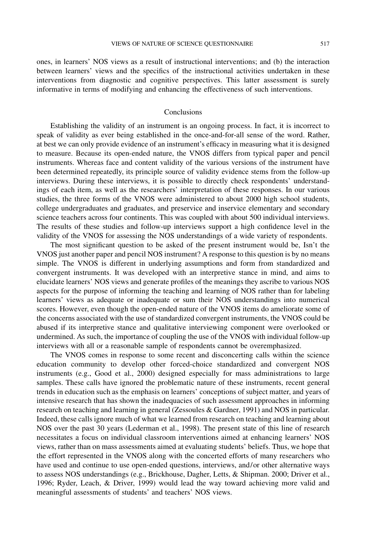ones, in learners' NOS views as a result of instructional interventions; and (b) the interaction between learners' views and the specifics of the instructional activities undertaken in these interventions from diagnostic and cognitive perspectives. This latter assessment is surely informative in terms of modifying and enhancing the effectiveness of such interventions.

### Conclusions

Establishing the validity of an instrument is an ongoing process. In fact, it is incorrect to speak of validity as ever being established in the once-and-for-all sense of the word. Rather, at best we can only provide evidence of an instrument's efficacy in measuring what it is designed to measure. Because its open-ended nature, the VNOS differs from typical paper and pencil instruments. Whereas face and content validity of the various versions of the instrument have been determined repeatedly, its principle source of validity evidence stems from the follow-up interviews. During these interviews, it is possible to directly check respondents' understandings of each item, as well as the researchers' interpretation of these responses. In our various studies, the three forms of the VNOS were administered to about 2000 high school students, college undergraduates and graduates, and preservice and inservice elementary and secondary science teachers across four continents. This was coupled with about 500 individual interviews. The results of these studies and follow-up interviews support a high confidence level in the validity of the VNOS for assessing the NOS understandings of a wide variety of respondents.

The most significant question to be asked of the present instrument would be, Isn't the VNOS just another paper and pencil NOS instrument? A response to this question is by no means simple. The VNOS is different in underlying assumptions and form from standardized and convergent instruments. It was developed with an interpretive stance in mind, and aims to elucidate learners' NOS views and generate profiles of the meanings they ascribe to various NOS aspects for the purpose of informing the teaching and learning of NOS rather than for labeling learners' views as adequate or inadequate or sum their NOS understandings into numerical scores. However, even though the open-ended nature of the VNOS items do ameliorate some of the concerns associated with the use of standardized convergent instruments, the VNOS could be abused if its interpretive stance and qualitative interviewing component were overlooked or undermined. As such, the importance of coupling the use of the VNOS with individual follow-up interviews with all or a reasonable sample of respondents cannot be overemphasized.

The VNOS comes in response to some recent and disconcerting calls within the science education community to develop other forced-choice standardized and convergent NOS instruments (e.g., Good et al., 2000) designed especially for mass administrations to large samples. These calls have ignored the problematic nature of these instruments, recent general trends in education such as the emphasis on learners' conceptions of subject matter, and years of intensive research that has shown the inadequacies of such assessment approaches in informing research on teaching and learning in general (Zessoules & Gardner, 1991) and NOS in particular. Indeed, these calls ignore much of what we learned from research on teaching and learning about NOS over the past 30 years (Lederman et al., 1998). The present state of this line of research necessitates a focus on individual classroom interventions aimed at enhancing learners' NOS views, rather than on mass assessments aimed at evaluating students' beliefs. Thus, we hope that the effort represented in the VNOS along with the concerted efforts of many researchers who have used and continue to use open-ended questions, interviews, and/or other alternative ways to assess NOS understandings (e.g., Brickhouse, Dagher, Letts, & Shipman. 2000; Driver et al., 1996; Ryder, Leach, & Driver, 1999) would lead the way toward achieving more valid and meaningful assessments of students' and teachers' NOS views.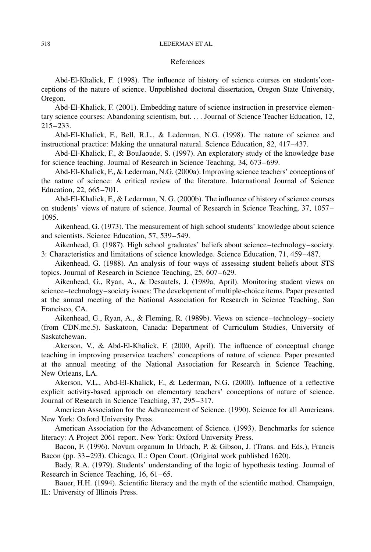#### References

Abd-El-Khalick, F. (1998). The influence of history of science courses on students'conceptions of the nature of science. Unpublished doctoral dissertation, Oregon State University, Oregon.

Abd-El-Khalick, F. (2001). Embedding nature of science instruction in preservice elementary science courses: Abandoning scientism, but. ... Journal of Science Teacher Education, 12, 215–233.

Abd-El-Khalick, F., Bell, R.L., & Lederman, N.G. (1998). The nature of science and instructional practice: Making the unnatural natural. Science Education, 82, 417–437.

Abd-El-Khalick, F., & BouJaoude, S. (1997). An exploratory study of the knowledge base for science teaching. Journal of Research in Science Teaching, 34, 673–699.

Abd-El-Khalick, F., & Lederman, N.G. (2000a). Improving science teachers' conceptions of the nature of science: A critical review of the literature. International Journal of Science Education, 22, 665–701.

Abd-El-Khalick, F., & Lederman, N. G. (2000b). The influence of history of science courses on students' views of nature of science. Journal of Research in Science Teaching, 37, 1057– 1095.

Aikenhead, G. (1973). The measurement of high school students' knowledge about science and scientists. Science Education, 57, 539–549.

Aikenhead, G. (1987). High school graduates' beliefs about science–technology–society. 3: Characteristics and limitations of science knowledge. Science Education, 71, 459–487.

Aikenhead, G. (1988). An analysis of four ways of assessing student beliefs about STS topics. Journal of Research in Science Teaching, 25, 607–629.

Aikenhead, G., Ryan, A., & Desautels, J. (1989a, April). Monitoring student views on science–technology–society issues: The development of multiple-choice items. Paper presented at the annual meeting of the National Association for Research in Science Teaching, San Francisco, CA.

Aikenhead, G., Ryan, A., & Fleming, R. (1989b). Views on science–technology–society (from CDN.mc.5). Saskatoon, Canada: Department of Curriculum Studies, University of Saskatchewan.

Akerson, V., & Abd-El-Khalick, F. (2000, April). The influence of conceptual change teaching in improving preservice teachers' conceptions of nature of science. Paper presented at the annual meeting of the National Association for Research in Science Teaching, New Orleans, LA.

Akerson, V.L., Abd-El-Khalick, F., & Lederman, N.G. (2000). Influence of a reflective explicit activity-based approach on elementary teachers' conceptions of nature of science. Journal of Research in Science Teaching, 37, 295–317.

American Association for the Advancement of Science. (1990). Science for all Americans. New York: Oxford University Press.

American Association for the Advancement of Science. (1993). Benchmarks for science literacy: A Project 2061 report. New York: Oxford University Press.

Bacon, F. (1996). Novum organum In Urbach, P. & Gibson, J. (Trans. and Eds.), Francis Bacon (pp. 33–293). Chicago, IL: Open Court. (Original work published 1620).

Bady, R.A. (1979). Students' understanding of the logic of hypothesis testing. Journal of Research in Science Teaching, 16, 61–65.

Bauer, H.H. (1994). Scientific literacy and the myth of the scientific method. Champaign, IL: University of Illinois Press.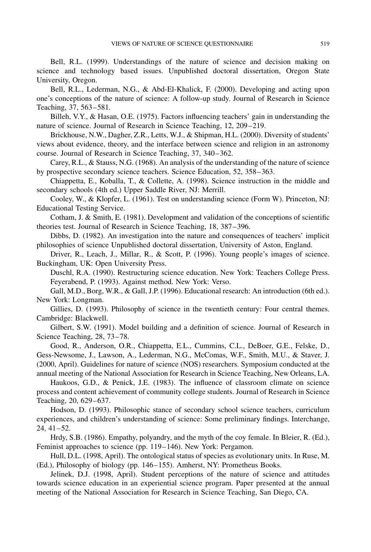Bell, R.L. (1999). Understandings of the nature of science and decision making on science and technology based issues. Unpublished doctoral dissertation, Oregon State University, Oregon.

Bell, R.L., Lederman, N.G., & Abd-El-Khalick, F. (2000). Developing and acting upon one's conceptions of the nature of science: A follow-up study. Journal of Research in Science Teaching, 37, 563–581.

Billeh, V.Y., & Hasan, O.E. (1975). Factors influencing teachers' gain in understanding the nature of science. Journal of Research in Science Teaching, 12, 209–219.

Brickhouse, N.W., Dagher, Z.R., Letts, W.J., & Shipman, H.L. (2000). Diversity of students' views about evidence, theory, and the interface between science and religion in an astronomy course. Journal of Research in Science Teaching, 37, 340–362.

Carey, R.L., & Stauss, N.G. (1968). An analysis of the understanding of the nature of science by prospective secondary science teachers. Science Education, 52, 358–363.

Chiappetta, E., Koballa, T., & Collette, A. (1998). Science instruction in the middle and secondary schools (4th ed.) Upper Saddle River, NJ: Merrill.

Cooley, W., & Klopfer, L. (1961). Test on understanding science (Form W). Princeton, NJ: Educational Testing Service.

Cotham, J. & Smith, E. (1981). Development and validation of the conceptions of scientific theories test. Journal of Research in Science Teaching, 18, 387–396.

Dibbs, D. (1982). An investigation into the nature and consequences of teachers' implicit philosophies of science Unpublished doctoral dissertation, University of Aston, England.

Driver, R., Leach, J., Millar, R., & Scott, P. (1996). Young people's images of science. Buckingham, UK: Open University Press.

Duschl, R.A. (1990). Restructuring science education. New York: Teachers College Press. Feyerabend, P. (1993). Against method. New York: Verso.

Gall, M.D., Borg, W.R., & Gall, J.P. (1996). Educational research: An introduction (6th ed.). New York: Longman.

Gillies, D. (1993). Philosophy of science in the twentieth century: Four central themes. Cambridge: Blackwell.

Gilbert, S.W. (1991). Model building and a definition of science. Journal of Research in Science Teaching, 28, 73–78.

Good, R., Anderson, O.R., Chiappetta, E.L., Cummins, C.L., DeBoer, G.E., Felske, D., Gess-Newsome, J., Lawson, A., Lederman, N.G., McComas, W.F., Smith, M.U., & Staver, J. (2000, April). Guidelines for nature of science (NOS) researchers. Symposium conducted at the annual meeting of the National Association for Research in Science Teaching, New Orleans, LA.

Haukoos, G.D., & Penick, J.E. (1983). The influence of classroom climate on science process and content achievement of community college students. Journal of Research in Science Teaching, 20, 629–637.

Hodson, D. (1993). Philosophic stance of secondary school science teachers, curriculum experiences, and children's understanding of science: Some preliminary findings. Interchange, 24, 41–52.

Hrdy, S.B. (1986). Empathy, polyandry, and the myth of the coy female. In Bleier, R. (Ed.), Feminist approaches to science (pp. 119–146). New York: Pergamon.

Hull, D.L. (1998, April). The ontological status of species as evolutionary units. In Ruse, M. (Ed.), Philosophy of biology (pp. 146–155). Amherst, NY: Prometheus Books.

Jelinek, D.J. (1998, April). Student perceptions of the nature of science and attitudes towards science education in an experiential science program. Paper presented at the annual meeting of the National Association for Research in Science Teaching, San Diego, CA.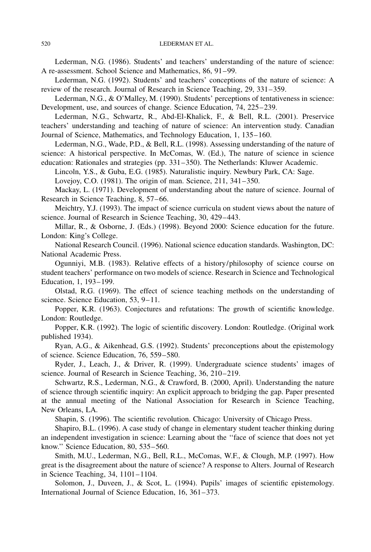Lederman, N.G. (1986). Students' and teachers' understanding of the nature of science: A re-assessment. School Science and Mathematics, 86, 91–99.

Lederman, N.G. (1992). Students' and teachers' conceptions of the nature of science: A review of the research. Journal of Research in Science Teaching, 29, 331–359.

Lederman, N.G., & O'Malley, M. (1990). Students' perceptions of tentativeness in science: Development, use, and sources of change. Science Education, 74, 225–239.

Lederman, N.G., Schwartz, R., Abd-El-Khalick, F., & Bell, R.L. (2001). Preservice teachers' understanding and teaching of nature of science: An intervention study. Canadian Journal of Science, Mathematics, and Technology Education, 1, 135–160.

Lederman, N.G., Wade, P.D., & Bell, R.L. (1998). Assessing understanding of the nature of science: A historical perspective. In McComas, W. (Ed.), The nature of science in science education: Rationales and strategies (pp. 331–350). The Netherlands: Kluwer Academic.

Lincoln, Y.S., & Guba, E.G. (1985). Naturalistic inquiry. Newbury Park, CA: Sage.

Lovejoy, C.O. (1981). The origin of man. Science, 211, 341–350.

Mackay, L. (1971). Development of understanding about the nature of science. Journal of Research in Science Teaching, 8, 57–66.

Meichtry, Y.J. (1993). The impact of science curricula on student views about the nature of science. Journal of Research in Science Teaching, 30, 429–443.

Millar, R., & Osborne, J. (Eds.) (1998). Beyond 2000: Science education for the future. London: King's College.

National Research Council. (1996). National science education standards. Washington, DC: National Academic Press.

Ogunniyi, M.B. (1983). Relative effects of a history/philosophy of science course on student teachers' performance on two models of science. Research in Science and Technological Education, 1, 193–199.

Olstad, R.G. (1969). The effect of science teaching methods on the understanding of science. Science Education, 53, 9–11.

Popper, K.R. (1963). Conjectures and refutations: The growth of scientific knowledge. London: Routledge.

Popper, K.R. (1992). The logic of scientific discovery. London: Routledge. (Original work published 1934).

Ryan, A.G., & Aikenhead, G.S. (1992). Students' preconceptions about the epistemology of science. Science Education, 76, 559–580.

Ryder, J., Leach, J., & Driver, R. (1999). Undergraduate science students' images of science. Journal of Research in Science Teaching, 36, 210–219.

Schwartz, R.S., Lederman, N.G., & Crawford, B. (2000, April). Understanding the nature of science through scientific inquiry: An explicit approach to bridging the gap. Paper presented at the annual meeting of the National Association for Research in Science Teaching, New Orleans, LA.

Shapin, S. (1996). The scientific revolution. Chicago: University of Chicago Press.

Shapiro, B.L. (1996). A case study of change in elementary student teacher thinking during an independent investigation in science: Learning about the ''face of science that does not yet know.'' Science Education, 80, 535–560.

Smith, M.U., Lederman, N.G., Bell, R.L., McComas, W.F., & Clough, M.P. (1997). How great is the disagreement about the nature of science? A response to Alters. Journal of Research in Science Teaching, 34, 1101–1104.

Solomon, J., Duveen, J., & Scot, L. (1994). Pupils' images of scientific epistemology. International Journal of Science Education, 16, 361–373.